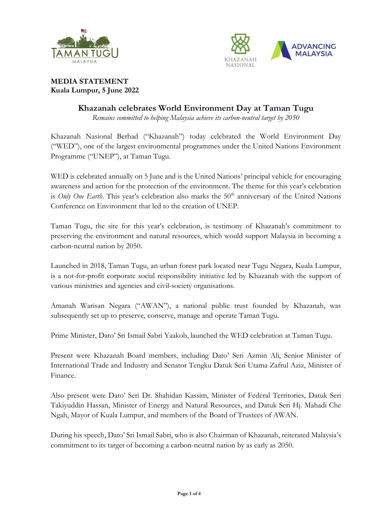



## **MEDIA STATEMENT Kuala Lumpur, 5 June 2022**

# **Khazanah celebrates World Environment Day at Taman Tugu**

*Remains committed to helping Malaysia achieve its carbon-neutral target by 2050*

Khazanah Nasional Berhad ("Khazanah") today celebrated the World Environment Day ("WED"), one of the largest environmental programmes under the United Nations Environment Programme ("UNEP"), at Taman Tugu.

WED is celebrated annually on 5 June and is the United Nations' principal vehicle for encouraging awareness and action for the protection of the environment. The theme for this year's celebration is *Only One Earth*. This year's celebration also marks the 50<sup>th</sup> anniversary of the United Nations Conference on Environment that led to the creation of UNEP.

Taman Tugu, the site for this year's celebration, is testimony of Khazanah's commitment to preserving the environment and natural resources, which would support Malaysia in becoming a carbon-neutral nation by 2050.

Launched in 2018, Taman Tugu, an urban forest park located near Tugu Negara, Kuala Lumpur, is a not-for-profit corporate social responsibility initiative led by Khazanah with the support of various ministries and agencies and civil-society organisations.

Amanah Warisan Negara ("AWAN"), a national public trust founded by Khazanah, was subsequently set up to preserve, conserve, manage and operate Taman Tugu.

Prime Minister, Dato' Sri Ismail Sabri Yaakob, launched the WED celebration at Taman Tugu.

Present were Khazanah Board members, including Dato' Seri Azmin Ali, Senior Minister of International Trade and Industry and Senator Tengku Datuk Seri Utama Zafrul Aziz, Minister of Finance.

Also present were Dato' Seri Dr. Shahidan Kassim, Minister of Federal Territories, Datuk Seri Takiyuddin Hassan, Minister of Energy and Natural Resources, and Datuk Seri Hj. Mahadi Che Ngah, Mayor of Kuala Lumpur, and members of the Board of Trustees of AWAN.

During his speech, Dato' Sri Ismail Sabri, who is also Chairman of Khazanah, reiterated Malaysia's commitment to its target of becoming a carbon-neutral nation by as early as 2050.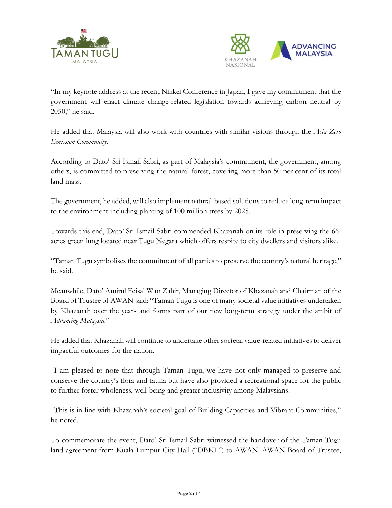



"In my keynote address at the recent Nikkei Conference in Japan, I gave my commitment that the government will enact climate change-related legislation towards achieving carbon neutral by 2050," he said.

He added that Malaysia will also work with countries with similar visions through the *Asia Zero Emission Community*.

According to Dato' Sri Ismail Sabri, as part of Malaysia's commitment, the government, among others, is committed to preserving the natural forest, covering more than 50 per cent of its total land mass.

The government, he added, will also implement natural-based solutions to reduce long-term impact to the environment including planting of 100 million trees by 2025.

Towards this end, Dato' Sri Ismail Sabri commended Khazanah on its role in preserving the 66 acres green lung located near Tugu Negara which offers respite to city dwellers and visitors alike.

"Taman Tugu symbolises the commitment of all parties to preserve the country's natural heritage," he said.

Meanwhile, Dato' Amirul Feisal Wan Zahir, Managing Director of Khazanah and Chairman of the Board of Trustee of AWAN said: "Taman Tugu is one of many societal value initiatives undertaken by Khazanah over the years and forms part of our new long-term strategy under the ambit of *Advancing Malaysia*."

He added that Khazanah will continue to undertake other societal value-related initiatives to deliver impactful outcomes for the nation.

"I am pleased to note that through Taman Tugu, we have not only managed to preserve and conserve the country's flora and fauna but have also provided a recreational space for the public to further foster wholeness, well-being and greater inclusivity among Malaysians.

"This is in line with Khazanah's societal goal of Building Capacities and Vibrant Communities," he noted.

To commemorate the event, Dato' Sri Ismail Sabri witnessed the handover of the Taman Tugu land agreement from Kuala Lumpur City Hall ("DBKL") to AWAN. AWAN Board of Trustee,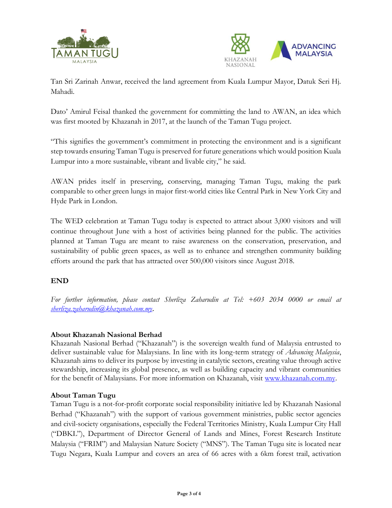



Tan Sri Zarinah Anwar, received the land agreement from Kuala Lumpur Mayor, Datuk Seri Hj. Mahadi.

Dato' Amirul Feisal thanked the government for committing the land to AWAN, an idea which was first mooted by Khazanah in 2017, at the launch of the Taman Tugu project.

"This signifies the government's commitment in protecting the environment and is a significant step towards ensuring Taman Tugu is preserved for future generations which would position Kuala Lumpur into a more sustainable, vibrant and livable city," he said.

AWAN prides itself in preserving, conserving, managing Taman Tugu, making the park comparable to other green lungs in major first-world cities like Central Park in New York City and Hyde Park in London.

The WED celebration at Taman Tugu today is expected to attract about 3,000 visitors and will continue throughout June with a host of activities being planned for the public. The activities planned at Taman Tugu are meant to raise awareness on the conservation, preservation, and sustainability of public green spaces, as well as to enhance and strengthen community building efforts around the park that has attracted over 500,000 visitors since August 2018.

# **END**

*For further information, please contact Sherliza Zaharudin at Tel: +603 2034 0000 or email at [sherliza.zaharudin@khazanah.com.my](mailto:sherliza.zaharudin@khazanah.com.my)*.

### **About Khazanah Nasional Berhad**

Khazanah Nasional Berhad ("Khazanah") is the sovereign wealth fund of Malaysia entrusted to deliver sustainable value for Malaysians. In line with its long-term strategy of *Advancing Malaysia*, Khazanah aims to deliver its purpose by investing in catalytic sectors, creating value through active stewardship, increasing its global presence, as well as building capacity and vibrant communities for the benefit of Malaysians. For more information on Khazanah, visit [www.khazanah.com.my.](http://www.khazanah.com.my/)

#### **About Taman Tugu**

Taman Tugu is a not-for-profit corporate social responsibility initiative led by Khazanah Nasional Berhad ("Khazanah") with the support of various government ministries, public sector agencies and civil-society organisations, especially the Federal Territories Ministry, Kuala Lumpur City Hall ("DBKL"), Department of Director General of Lands and Mines, Forest Research Institute Malaysia ("FRIM") and Malaysian Nature Society ("MNS"). The Taman Tugu site is located near Tugu Negara, Kuala Lumpur and covers an area of 66 acres with a 6km forest trail, activation